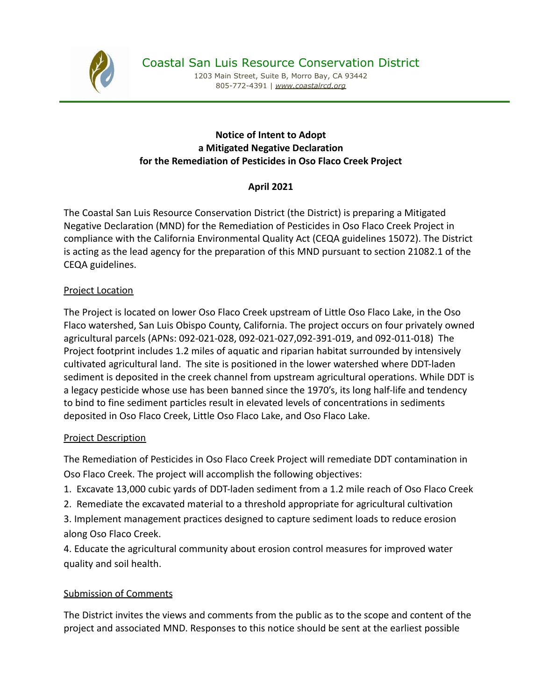

1203 Main Street, Suite B, Morro Bay, CA 93442 805-772-4391 | *[www.coastalrcd.org](http://www.coastalrcd.org)*

### **Notice of Intent to Adopt a Mitigated Negative Declaration for the Remediation of Pesticides in Oso Flaco Creek Project**

# **April 2021**

The Coastal San Luis Resource Conservation District (the District) is preparing a Mitigated Negative Declaration (MND) for the Remediation of Pesticides in Oso Flaco Creek Project in compliance with the California Environmental Quality Act (CEQA guidelines 15072). The District is acting as the lead agency for the preparation of this MND pursuant to section 21082.1 of the CEQA guidelines.

## Project Location

The Project is located on lower Oso Flaco Creek upstream of Little Oso Flaco Lake, in the Oso Flaco watershed, San Luis Obispo County, California. The project occurs on four privately owned agricultural parcels (APNs: 092-021-028, 092-021-027,092-391-019, and 092-011-018) The Project footprint includes 1.2 miles of aquatic and riparian habitat surrounded by intensively cultivated agricultural land. The site is positioned in the lower watershed where DDT-laden sediment is deposited in the creek channel from upstream agricultural operations. While DDT is a legacy pesticide whose use has been banned since the 1970's, its long half-life and tendency to bind to fine sediment particles result in elevated levels of concentrations in sediments deposited in Oso Flaco Creek, Little Oso Flaco Lake, and Oso Flaco Lake.

#### Project Description

The Remediation of Pesticides in Oso Flaco Creek Project will remediate DDT contamination in Oso Flaco Creek. The project will accomplish the following objectives:

- 1. Excavate 13,000 cubic yards of DDT-laden sediment from a 1.2 mile reach of Oso Flaco Creek
- 2. Remediate the excavated material to a threshold appropriate for agricultural cultivation

3. Implement management practices designed to capture sediment loads to reduce erosion along Oso Flaco Creek.

4. Educate the agricultural community about erosion control measures for improved water quality and soil health.

## Submission of Comments

The District invites the views and comments from the public as to the scope and content of the project and associated MND. Responses to this notice should be sent at the earliest possible